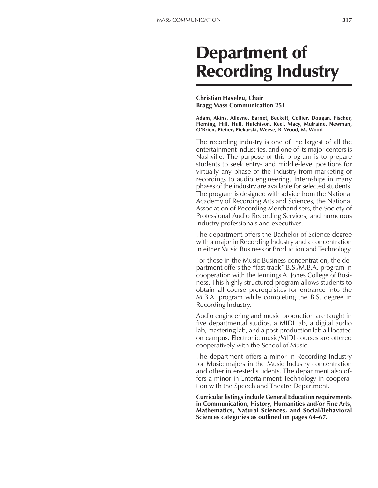# Department of Recording Industry

# **Christian Haseleu, Chair Bragg Mass Communication 251**

**Adam, Akins, Alleyne, Barnet, Beckett, Collier, Dougan, Fischer, Fleming, Hill, Hull, Hutchison, Keel, Macy, Mulraine, Newman, OíBrien, Pfeifer, Piekarski, Weese, B. Wood, M. Wood**

The recording industry is one of the largest of all the entertainment industries, and one of its major centers is Nashville. The purpose of this program is to prepare students to seek entry- and middle-level positions for virtually any phase of the industry from marketing of recordings to audio engineering. Internships in many phases of the industry are available for selected students. The program is designed with advice from the National Academy of Recording Arts and Sciences, the National Association of Recording Merchandisers, the Society of Professional Audio Recording Services, and numerous industry professionals and executives.

The department offers the Bachelor of Science degree with a major in Recording Industry and a concentration in either Music Business or Production and Technology.

For those in the Music Business concentration, the department offers the "fast track" B.S./M.B.A. program in cooperation with the Jennings A. Jones College of Business. This highly structured program allows students to obtain all course prerequisites for entrance into the M.B.A. program while completing the B.S. degree in Recording Industry.

Audio engineering and music production are taught in five departmental studios, a MIDI lab, a digital audio lab, mastering lab, and a post-production lab all located on campus. Electronic music/MIDI courses are offered cooperatively with the School of Music.

The department offers a minor in Recording Industry for Music majors in the Music Industry concentration and other interested students. The department also offers a minor in Entertainment Technology in cooperation with the Speech and Theatre Department.

**Curricular listings include General Education requirements in Communication, History, Humanities and/or Fine Arts, Mathematics, Natural Sciences, and Social/Behavioral Sciences categories as outlined on pages 64–67.**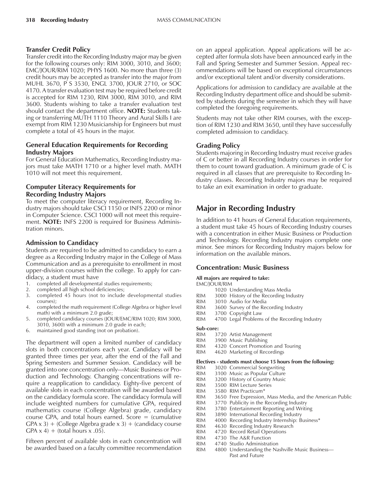# **Transfer Credit Policy**

Transfer credit into the Recording Industry major may be given for the following courses only: RIM 3000, 3010, and 3600; EMC/JOUR/RIM 1020; PHYS 1600. No more than three (3) credit hours may be accepted as transfer into the major from MUHL 3670, P S 3530, ENGL 3700, JOUR 2710, or SOC 4170. A transfer evaluation test may be required before credit is accepted for RIM 1230, RIM 3000, RIM 3010, and RIM 3600. Students wishing to take a transfer evaluation test should contact the department office. **NOTE:** Students taking or transferring MUTH 1110 Theory and Aural Skills I are exempt from RIM 1230 Musicianship for Engineers but must complete a total of 45 hours in the major.

# **General Education Requirements for Recording Industry Majors**

For General Education Mathematics, Recording Industry majors must take MATH 1710 or a higher level math. MATH 1010 will not meet this requirement.

# **Computer Literacy Requirements for Recording Industry Majors**

To meet the computer literacy requirement, Recording Industry majors should take CSCI 1150 or INFS 2200 or minor in Computer Science. CSCI 1000 will not meet this requirement. **NOTE:** INFS 2200 is required for Business Administration minors.

# **Admission to Candidacy**

Students are required to be admitted to candidacy to earn a degree as a Recording Industry major in the College of Mass Communication and as a prerequisite to enrollment in most upper-division courses within the college. To apply for candidacy, a student must have

- 1. completed all developmental studies requirements;
- 2. completed all high school deficiencies;
- 3. completed 45 hours (not to include developmental studies courses);
- 4. completed the math requirement (College Algebra or higher level math) with a minimum 2.0 grade;
- 5. completed candidacy courses (JOUR/EMC/RIM 1020; RIM 3000, 3010, 3600) with a minimum 2.0 grade in each;
- 6. maintained good standing (not on probation).

The department will open a limited number of candidacy slots in both concentrations each year. Candidacy will be granted three times per year, after the end of the Fall and Spring Semesters and Summer Session. Candidacy will be granted into one concentration only—Music Business or Production and Technology. Changing concentrations will require a reapplication to candidacy. Eighty-five percent of available slots in each concentration will be awarded based on the candidacy formula score. The candidacy formula will include weighted numbers for cumulative GPA, required mathematics course (College Algebra) grade, candidacy course GPA, and total hours earned. Score  $=$  (cumulative  $GPA \times 3$ ) + (College Algebra grade  $\times 3$ ) + (candidacy course  $GPA \times 4$  + (total hours x .05).

Fifteen percent of available slots in each concentration will be awarded based on a faculty committee recommendation

on an appeal application. Appeal applications will be accepted after formula slots have been announced early in the Fall and Spring Semester and Summer Session. Appeal recommendations will be based on exceptional circumstances and/or exceptional talent and/or diversity considerations.

Applications for admission to candidacy are available at the Recording Industry department office and should be submitted by students during the semester in which they will have completed the foregoing requirements.

Students may not take other RIM courses, with the exception of RIM 1230 and RIM 3650, until they have successfully completed admission to candidacy.

# **Grading Policy**

Students majoring in Recording Industry must receive grades of C or better in all Recording Industry courses in order for them to count toward graduation. A minimum grade of C is required in all classes that are prerequisite to Recording Industry classes. Recording Industry majors may be required to take an exit examination in order to graduate.

# **Major in Recording Industry**

In addition to 41 hours of General Education requirements, a student must take 45 hours of Recording Industry courses with a concentration in either Music Business or Production and Technology. Recording Industry majors complete one minor. See minors for Recording Industry majors below for information on the available minors.

# **Concentration: Music Business**

#### **All majors are required to take:**

EMC/JOUR/RIM

- 1020 Understanding Mass Media
- RIM 3000 History of the Recording Industry<br>RIM 3010 Audio for Media
- 3010 Audio for Media
- RIM 3600 Survey of the Recording Industry
- RIM 3700 Copyright Law
- 4700 Legal Problems of the Recording Industry

#### **Sub-core:**

- RIM 3720 Artist Management<br>RIM 3900 Music Publishing
- 3900 Music Publishing
- RIM 4320 Concert Promotion and Touring
- RIM 4620 Marketing of Recordings

#### **Electives - students must choose 15 hours from the following:**

- RIM 3020 Commercial Songwriting
- RIM 3100 Music as Popular Culture<br>RIM 3200 History of Country Music
- 3200 History of Country Music
- RIM 3500 RIM Lecture Series
- RIM 3580 RIM Practicum\*<br>RIM 3650 Free Expression
- 3650 Free Expression, Mass Media, and the American Public
- RIM 3770 Publicity in the Recording Industry
- RIM 3780 Entertainment Reporting and Writing
- RIM 3890 International Recording Industry
- RIM 4000 Recording Industry Internship: Business\*
- RIM 4630 Recording Industry Research
- RIM 4720 Record Retail Operations
- RIM 4730 The A&R Function
- RIM 4740 Studio Administration<br>RIM 4800 Understanding the Na
	- 4800 Understanding the Nashville Music Business-Past and Future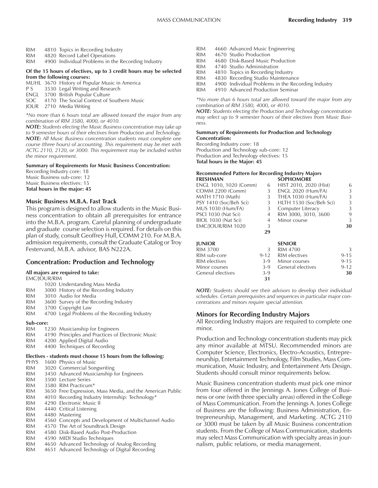- RIM 4810 Topics in Recording Industry<br>RIM 4820 Record Label Operations
- 4820 Record Label Operations
- RIM 4900 Individual Problems in the Recording Industry

#### **Of the 15 hours of electives, up to 3 credit hours may be selected from the following courses:**

- MUHL 3670 History of Popular Music in America
- P S 3530 Legal Writing and Research
- ENGL 3700 British Popular Culture
- SOC 4170 The Social Context of Southern Music
- JOUR 2710 Media Writing

*\*No more than 6 hours total are allowed toward the major from any combination of RIM 3580, 4000, or 4010.*

*NOTE: Students electing the Music Business concentration may take up to 9 semester hours of their electives from Production and Technology. NOTE: All Music Business concentration students must complete one course (three hours) of accounting. This requirement may be met with ACTG 2110, 2120, or 3000. This requirement may be included within the minor requirement.*

#### **Summary of Requirements for Music Business Concentration:**

Recording Industry core: 18 Music Business sub-core: 12 Music Business electives: 15 **Total hours in the major: 45**

#### **Music Business M.B.A. Fast Track**

This program is designed to allow students in the Music Business concentration to obtain all prerequisites for entrance into the M.B.A. program. Careful planning of undergraduate and graduate course selection is required. For details on this plan of study, consult Geoffrey Hull, COMM 210. For M.B.A. admission requirements, consult the Graduate Catalog or Troy Festervand, M.B.A. advisor, BAS N222A.

#### **Concentration: Production and Technology**

#### **All majors are required to take:**

EMC/JOUR/RIM

- 1020 Understanding Mass Media
- RIM 3000 History of the Recording Industry
- RIM 3010 Audio for Media
- RIM 3600 Survey of the Recording Industry
- RIM 3700 Copyright Law
- RIM 4700 Legal Problems of the Recording Industry
- **Sub-core:**

| <b>RIM</b> | 1230 Musicianship for Engineers                   |
|------------|---------------------------------------------------|
| <b>RIM</b> | 4190 Principles and Practices of Electronic Music |

- RIM 4200 Applied Digital Audio
- RIM 4400 Techniques of Recording

## **Electives - students must choose 15 hours from the following:**

- PHYS 1600 Physics of Music
- RIM 3020 Commercial Songwriting RIM 3450 Advanced Musicianship for Engineers RIM 3500 Lecture Series RIM 3580 RIM Practicum\* RIM 3650 Free Expression, Mass Media, and the American Public RIM 4010 Recording Industry Internship: Technology\* RIM 4290 Electronic Music II RIM 4440 Critical Listening RIM 4480 Mastering RIM 4560 Concepts and Development of Multichannel Audio<br>RIM 4570 The Art of Soundtrack Design 4570 The Art of Soundtrack Design RIM 4580 Disk-Based Audio Post-Production RIM 4590 MIDI Studio Techniques RIM 4650 Advanced Technology of Analog Recording RIM 4651 Advanced Technology of Digital Recording
- RIM 4660 Advanced Music Engineering RIM 4670 Studio Production RIM 4680 Disk-Based Music Production RIM 4740 Studio Administration RIM 4810 Topics in Recording Industry
- RIM 4830 Recording Studio Maintenance
- RIM 4900 Individual Problems in the Recording Industry<br>RIM 4910 Advanced Production Seminar
- 4910 Advanced Production Seminar

*\*No more than 6 hours total are allowed toward the major from any combination of RIM 3580, 4000, or 4010.*

*NOTE: Students electing the Production and Technology concentration may select up to 9 semester hours of their electives from Music Business.*

#### **Summary of Requirements for Production and Technology Concentration:**

Recording Industry core: 18 Production and Technology sub-core: 12 Production and Technology electives: 15 **Total hours in the Major: 45**

#### **Recommended Pattern for Recording Industry Majors SOPHOMORE**

| ENGL 1010, 1020 (Comm)  | 6     | HIST 2010, 2020 (Hist)    | 6  |
|-------------------------|-------|---------------------------|----|
| <b>COMM 2200 (Comm)</b> | 3     | <b>ENGL 2020 (Hum/FA)</b> | 3  |
| MATH 1710 (Math)        | 3     | THEA 1030 (Hum/FA)        | 3  |
| PSY 1410 (Soc/Beh Sci)  | $3 -$ | HLTH 1530 (Soc/Beh Sci)   | 3  |
| MUS 1030 (Hum/FA)       | 3     | Computer Literacy         | 3  |
| PSCI 1030 (Nat Sci)     | 4     | RIM 3000, 3010, 3600      | 9  |
| BIOL 1030 (Nat Sci)     | 4     | Minor course              | 3  |
| EMC/JOUR/RIM 1020       | 3     |                           | 30 |
|                         | 29    |                           |    |

| <b>IUNIOR</b>     |               | <b>SENIOR</b>         |          |
|-------------------|---------------|-----------------------|----------|
| RIM 3700          | $\mathcal{L}$ | RIM 4700              | 3        |
| RIM sub-core      |               | 9-12 RIM electives    | $9 - 15$ |
| RIM electives     |               | 3-9 Minor courses     | $9 - 15$ |
| Minor courses     |               | 3-9 General electives | $9 - 12$ |
| General electives | $3-9$         |                       | 30       |
|                   | 31            |                       |          |

*NOTE: Students should see their advisors to develop their individual schedules. Certain prerequisites and sequences in particular major concentrations and minors require special attention.*

# **Minors for Recording Industry Majors**

All Recording Industry majors are required to complete one minor.

Production and Technology concentration students may pick any minor available at MTSU. Recommended minors are Computer Science, Electronics, Electro-Acoustics, Entrepreneurship, Entertainment Technology, Film Studies, Mass Communication, Music Industry, and Entertainment Arts Design. Students should consult minor requirements below.

Music Business concentration students must pick one minor from four offered in the Jennings A. Jones College of Business or one (with three specialty areas) offered in the College of Mass Communication. From the Jennings A. Jones College of Business are the following: Business Administration, Entrepreneurship, Management, and Marketing. ACTG 2110 or 3000 must be taken by all Music Business concentration students. From the College of Mass Communication, students may select Mass Communication with specialty areas in journalism, public relations, or media management.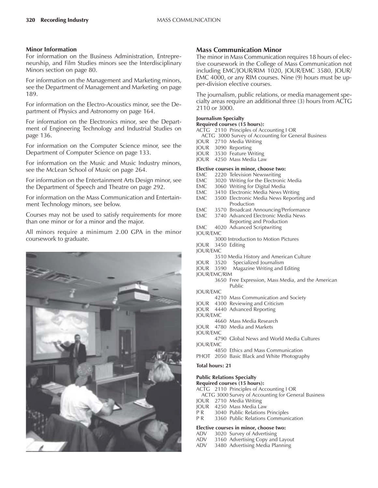#### **Minor Information**

For information on the Business Administration, Entrepreneurship, and Film Studies minors see the Interdisciplinary Minors section on page 80.

For information on the Management and Marketing minors, see the Department of Management and Marketing on page 189.

For information on the Electro-Acoustics minor, see the Department of Physics and Astronomy on page 164.

For information on the Electronics minor, see the Department of Engineering Technology and Industrial Studies on page 136.

For information on the Computer Science minor, see the Department of Computer Science on page 133.

For information on the Music and Music Industry minors, see the McLean School of Music on page 264.

For information on the Entertainment Arts Design minor, see the Department of Speech and Theatre on page 292.

For information on the Mass Communication and Entertainment Technology minors, see below.

Courses may not be used to satisfy requirements for more than one minor or for a minor and the major.

All minors require a minimum 2.00 GPA in the minor coursework to graduate.



# **Mass Communication Minor**

The minor in Mass Communication requires 18 hours of elective coursework in the College of Mass Communication not including EMC/JOUR/RIM 1020, JOUR/EMC 3580, JOUR/ EMC 4000, or any RIM courses. Nine (9) hours must be upper-division elective courses.

The journalism, public relations, or media management specialty areas require an additional three (3) hours from ACTG 2110 or 3000.

#### **Journalism Specialty**

## **Required courses (15 hours):**

- ACTG 2110 Principles of Accounting I OR
	- ACTG 3000 Survey of Accounting for General Business
- JOUR 2710 Media Writing
- JOUR 3090 Reporting
- JOUR 3530 Feature Writing
- JOUR 4250 Mass Media Law

#### **Elective courses in minor, choose two:**

- EMC 2220 Television Newswriting<br>EMC 3020 Writing for the Electron
- EMC 3020 Writing for the Electronic Media<br>EMC 3060 Writing for Digital Media
- EMC 3060 Writing for Digital Media<br>EMC 3410 Electronic Media News W
- 3410 Electronic Media News Writing
- EMC 3500 Electronic Media News Reporting and Production
- EMC 3570 Broadcast Announcing/Performance<br>EMC 3740 Advanced Electronic Media News
- 3740 Advanced Electronic Media News Reporting and Production
- EMC 4020 Advanced Scriptwriting
- JOUR/EMC
	- 3000 Introduction to Motion Pictures
- JOUR 3450 Editing
- JOUR/EMC
	- 3510 Media History and American Culture
- JOUR 3520 Specialized Journalism
- Magazine Writing and Editing
- JOUR/EMC/RIM
	- 3650 Free Expression, Mass Media, and the American Public
- JOUR/EMC
- 4210 Mass Communication and Society
- JOUR 4300 Reviewing and Criticism
- JOUR 4440 Advanced Reporting
- JOUR/EMC
- 4660 Mass Media Research
- JOUR 4780 Media and Markets
- JOUR/EMC 4790 Global News and World Media Cultures JOUR/EMC
- 4850 Ethics and Mass Communication
- PHOT 2050 Basic Black and White Photography

#### **Total hours: 21**

#### **Public Relations Specialty**

- **Required courses (15 hours):**
- ACTG 2110 Principles of Accounting I OR
- ACTG 3000 Survey of Accounting for General Business
- JOUR 2710 Media Writing
- JOUR 4250 Mass Media Law<br>PR 3040 Public Relations
- 3040 Public Relations Principles
- P R 3360 Public Relations Communication

# **Elective courses in minor, choose two:**<br>ADV 3020 Survey of Advertising

- 3020 Survey of Advertising
- ADV 3160 Advertising Copy and Layout ADV 3480 Advertising Media Planning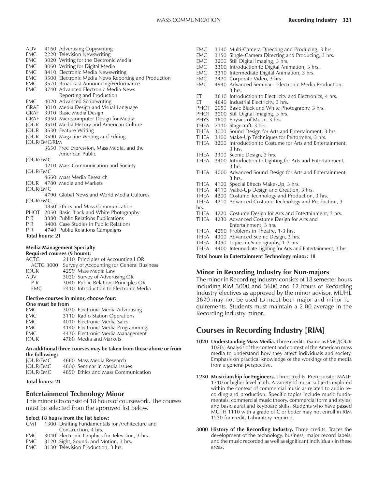| ADV                    | 4160 Advertising Copywriting |                                                                                                      |  |
|------------------------|------------------------------|------------------------------------------------------------------------------------------------------|--|
| EMC                    |                              | 2220 Television Newswriting                                                                          |  |
| EMC                    |                              | 3020 Writing for the Electronic Media                                                                |  |
| EMC                    |                              | 3060 Writing for Digital Media                                                                       |  |
| EMC                    |                              | 3410 Electronic Media Newswriting                                                                    |  |
|                        |                              |                                                                                                      |  |
|                        |                              | EMC 3500 Electronic Media News Reporting and Production<br>EMC 3570 Broadcast Announcing/Performance |  |
| EMC                    |                              | 3740 Advanced Electronic Media News                                                                  |  |
|                        |                              | Reporting and Production                                                                             |  |
| EMC                    |                              | 4020 Advanced Scriptwriting                                                                          |  |
| <b>GRAF</b>            |                              | 3010 Media Design and Visual Language                                                                |  |
|                        |                              | GRAF 3910 Basic Media Design                                                                         |  |
|                        |                              | GRAF 3950 Microcomputer Design for Media<br>JOUR 3510 Media History and American Culture             |  |
|                        |                              |                                                                                                      |  |
|                        |                              | JOUR 3530 Feature Writing                                                                            |  |
|                        |                              | JOUR 3590 Magazine Writing and Editing                                                               |  |
| <b>JOUR/EMC/RIM</b>    |                              |                                                                                                      |  |
|                        |                              | 3650 Free Expression, Mass Media, and the                                                            |  |
|                        |                              | American Public                                                                                      |  |
| <b>JOUR/EMC</b>        |                              |                                                                                                      |  |
|                        |                              | 4210 Mass Communication and Society                                                                  |  |
| <b>JOUR/EMC</b>        |                              |                                                                                                      |  |
|                        |                              | 4660 Mass Media Research                                                                             |  |
|                        |                              | <b>IOUR</b> 4780 Media and Markets                                                                   |  |
| <b>JOUR/EMC</b>        |                              |                                                                                                      |  |
|                        |                              | 4790 Global News and World Media Cultures                                                            |  |
| <b>JOUR/EMC</b>        |                              |                                                                                                      |  |
|                        |                              | 4850 Ethics and Mass Communication                                                                   |  |
|                        |                              | PHOT 2050 Basic Black and White Photography                                                          |  |
|                        |                              | P R 3380 Public Relations Publications                                                               |  |
|                        |                              | PR 3400 Case Studies in Public Relations                                                             |  |
|                        |                              | PR 4740 Public Relations Campaigns                                                                   |  |
| <b>Total hours: 21</b> |                              |                                                                                                      |  |

#### **Media Management Specialty**

| <b>Required courses (9 hours):</b> |                                                     |  |  |
|------------------------------------|-----------------------------------------------------|--|--|
| <b>ACTG</b>                        | 2110 Principles of Accounting I OR                  |  |  |
|                                    | ACTG 3000 Survey of Accounting for General Business |  |  |
| <b>IOUR</b>                        | 4250 Mass Media Law                                 |  |  |
| <b>ADV</b>                         | 3020 Survey of Advertising OR                       |  |  |
| P R                                | 3040 Public Relations Principles OR                 |  |  |
| <b>FMC</b>                         | 2410 Introduction to Electronic Media               |  |  |
|                                    |                                                     |  |  |

### **Elective courses in minor, choose four:**

**One must be from** EMC 3030 Electronic Media Advertising EMC 3110 Radio Station Operations EMC 4010 Electronic Media Sales EMC 4140 Electronic Media Programming EMC 4430 Electronic Media Management JOUR 4780 Media and Markets

#### **An additional three courses may be taken from those above or from the following:**

| <b>IOUR/EMC</b> | 4660 Mass Media Research           |
|-----------------|------------------------------------|
| <b>IOUR/EMC</b> | 4800 Seminar in Media Issues       |
| <b>IOUR/EMC</b> | 4850 Ethics and Mass Communication |
|                 |                                    |

#### **Total hours: 21**

#### **Entertainment Technology Minor**

This minor is to consist of 18 hours of coursework. The courses must be selected from the approved list below.

#### **Select 18 hours from the list below:**

- CMT 1300 Drafting Fundamentals for Architecture and Construction, 4 hrs.
- EMC 3040 Electronic Graphics for Television, 3 hrs.
- EMC 3120 Sight, Sound, and Motion, 3 hrs.
- EMC 3130 Television Production, 3 hrs.

| EMC                                                      |  | 3140 Multi-Camera Directing and Producing, 3 hrs.             |
|----------------------------------------------------------|--|---------------------------------------------------------------|
| EMC.                                                     |  | 3150 Single-Camera Directing and Producing, 3 hrs.            |
| EMC.                                                     |  | 3200 Still Digital Imaging, 3 hrs.                            |
| EMC                                                      |  | 3300 Introduction to Digital Animation, 3 hrs.                |
| EMC                                                      |  | 3310 Intermediate Digital Animation, 3 hrs.                   |
| EMC                                                      |  | 3420 Corporate Video, 3 hrs.                                  |
| EMC                                                      |  | 4940 Advanced Seminar-Electronic Media Production,            |
|                                                          |  | $3$ hrs.                                                      |
| ET                                                       |  | 3610 Introduction to Electricity and Electronics, 4 hrs.      |
| ЕT                                                       |  | 4640 Industrial Electricity, 3 hrs.                           |
| PHOT                                                     |  | 2050 Basic Black and White Photography, 3 hrs.                |
| PHOT                                                     |  | 3200 Still Digital Imaging, 3 hrs.                            |
| <b>PHYS</b>                                              |  | 1600 Physics of Music, 3 hrs.                                 |
| <b>THEA</b>                                              |  | 2110 Stagecraft, 3 hrs.                                       |
| THEA                                                     |  | 3000 Sound Design for Arts and Entertainment, 3 hrs.          |
| THEA                                                     |  | 3100 Make-Up Techniques for Performers, 3 hrs.                |
| <b>THEA</b>                                              |  | 3200 Introduction to Costume for Arts and Entertainment,      |
|                                                          |  | $3 \;$ hrs.                                                   |
| THEA                                                     |  | 3300 Scenic Design, 3 hrs.                                    |
| <b>THEA</b>                                              |  | 3400 Introduction to Lighting for Arts and Entertainment,     |
|                                                          |  | $3 \text{ hrs.}$                                              |
| <b>THEA</b>                                              |  | 4000 Advanced Sound Design for Arts and Entertainment,        |
|                                                          |  | $3 \text{ hrs.}$                                              |
| THEA                                                     |  | 4100 Special Effects Make-Up, 3 hrs.                          |
| THEA                                                     |  | 4110 Make-Up Design and Creation, 3 hrs.                      |
| <b>THEA</b>                                              |  | 4200 Costume Technology and Production, 3 hrs.                |
| <b>THEA</b>                                              |  | 4210 Advanced Costume Technology and Production, 3            |
| hrs.                                                     |  |                                                               |
| THEA                                                     |  | 4220 Costume Design for Arts and Entertainment, 3 hrs.        |
| THEA                                                     |  | 4230 Advanced Costume Design for Arts and                     |
|                                                          |  | Entertainment, 3 hrs.                                         |
| THEA                                                     |  | 4290 Problems in Theatre, 1-3 hrs.                            |
| THEA                                                     |  | 4300 Advanced Scenic Design, 3 hrs.                           |
| THEA                                                     |  | 4390 Topics in Scenography, 1-3 hrs.                          |
| <b>THEA</b>                                              |  | 4400 Intermediate Lighting for Arts and Entertainment, 3 hrs. |
| <b>Total hours in Entertainment Technology minor: 18</b> |  |                                                               |

#### **Minor in Recording Industry for Non-majors**

The minor in Recording Industry consists of 18 semester hours including RIM 3000 and 3600 and 12 hours of Recording Industry electives as approved by the minor advisor. MUHL 3670 may not be used to meet both major and minor requirements. Students must maintain a 2.00 average in the Recording Industry minor.

# **Courses in Recording Industry [RIM]**

- **1020 Understanding Mass Media.** Three credits. (Same as EMC/JOUR 1020.) Analysis of the content and context of the American mass media to understand how they affect individuals and society. Emphasis on practical knowledge of the workings of the media from a general perspective.
- **1230 Musicianship for Engineers.** Three credits. Prerequisite: MATH 1710 or higher level math. A variety of music subjects explored within the context of commercial music as related to audio recording and production. Specific topics include music fundamentals, commercial music theory, commercial form and styles, and basic aural and keyboard skills. Students who have passed MUTH 1110 with a grade of C or better may not enroll in RIM 1230 for credit. Laboratory required.
- **3000 History of the Recording Industry.** Three credits. Traces the development of the technology, business, major record labels, and the music recorded as well as significant individuals in these areas.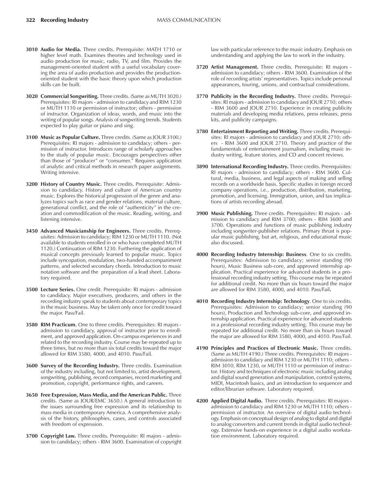- **3010 Audio for Media.** Three credits. Prerequisite: MATH 1710 or higher level math. Examines theories and technology used in audio production for music, radio, TV, and film. Provides the management-oriented student with a useful vocabulary covering the area of audio production and provides the productionoriented student with the basic theory upon which production skills can be built.
- **3020 Commercial Songwriting.** Three credits. (Same as MUTH 3020.) Prerequisites: RI majors - admission to candidacy and RIM 1230 or MUTH 1110 or permission of instructor; others - permission of instructor. Organization of ideas, words, and music into the writing of popular songs. Analysis of songwriting trends. Students expected to play guitar or piano and sing.
- **3100 Music as Popular Culture.** Three credits. (Same as JOUR 3100.) Prerequisites: RI majors - admission to candidacy; others - permission of instructor. Introduces range of scholarly approaches to the study of popular music. Encourages perspectives other than those of "producer" or "consumer." Requires application of analytic and critical methods in research paper assignments. Writing intensive.
- **3200 History of Country Music.** Three credits. Prerequisite: Admission to candidacy. History and culture of American country music. Explores the historical progression of the genre and analyzes topics such as race and gender relations, material culture, generational conflict, and the role of "authenticity" in the creation and commodification of the music. Reading, writing, and listening intensive.
- **3450 Advanced Musicianship for Engineers.** Three credits. Prerequisites: Admission to candidacy; RIM 1230 or MUTH 1110. (Not available to students enrolled in or who have completed MUTH 1120.) Continuation of RIM 1230. Furthering the application of musical concepts previously learned to popular music. Topics include syncopation, modulation, two-handed accompaniment patterns, and selected secondary chords. Introduction to music notation software and the preparation of a lead sheet. Laboratory required.
- **3500 Lecture Series.** One credit. Prerequisite: RI majors admission to candidacy. Major executives, producers, and others in the recording industry speak to students about contemporary topics in the music business. May be taken only once for credit toward the major. Pass/Fail.
- **3580 RIM Practicum.** One to three credits. Prerequisites: RI majors admission to candidacy, approval of instructor prior to enrollment, and approved application. On-campus experiences in and related to the recording industry. Course may be repeated up to three times, but no more than six total credits toward the major allowed for RIM 3580, 4000, and 4010. Pass/Fail.
- **3600 Survey of the Recording Industry.** Three credits. Examination of the industry including, but not limited to, artist development, songwriting, publishing, record companies, record marketing and promotion, copyright, performance rights, and careers.
- **3650 Free Expression, Mass Media, and the American Public.** Three credits. (Same as JOUR/EMC 3650.) A general introduction to the issues surrounding free expression and its relationship to mass media in contemporary America. A comprehensive analysis of the history, philosophies, cases, and controls associated with freedom of expression.
- **3700 Copyright Law.** Three credits. Prerequisite: RI majors admission to candidacy; others - RIM 3600. Examination of copyright

law with particular reference to the music industry. Emphasis on understanding and applying the law to work in the industry.

- **3720 Artist Management.** Three credits. Prerequisite: RI majors admission to candidacy; others - RIM 3600. Examination of the role of recording artists' representatives. Topics include personal appearances, touring, unions, and contractual considerations.
- **3770 Publicity in the Recording Industry.** Three credits. Prerequisites: RI majors - admission to candidacy and JOUR 2710; others - RIM 3600 and JOUR 2710. Experience in creating publicity materials and developing media relations, press releases, press kits, and publicity campaigns.
- **3780 Entertainment Reporting and Writing.** Three credits. Prerequisites: RI majors - admission to candidacy and JOUR 2710; others - RIM 3600 and JOUR 2710. Theory and practice of the fundamentals of entertainment journalism, including music industry writing, feature stories, and CD and concert reviews.
- **3890 International Recording Industry.** Three credits. Prerequisites: RI majors - admission to candidacy; others - RIM 3600. Cultural, media, business, and legal aspects of making and selling records on a worldwide basis. Specific studies in foreign record company operations, i.e., production, distribution, marketing, promotion, and licensing. Immigration, union, and tax implications of artists recording abroad.
- **3900 Music Publishing.** Three credits. Prerequisites: RI majors admission to candidacy and RIM 3700; others - RIM 3600 and 3700. Operations and functions of music publishing industry including songwriter-publisher relations. Primary thrust is popular music publishing, but art, religious, and educational music also discussed.
- **4000 Recording Industry Internship: Business**. One to six credits. Prerequisites: Admission to candidacy; senior standing (90 hours), Music Business sub-core, and approved internship application. Practical experience for advanced students in a professional recording industry setting. This course may be repeated for additional credit. No more than six hours toward the major are allowed for RIM 3580, 4000, and 4010. Pass/Fail**.**
- **4010 Recording Industry Internship: Technology**. One to six credits. Prerequisites: Admission to candidacy; senior standing (90 hours), Production and Technology sub-core, and approved internship application. Practical experience for advanced students in a professional recording industry setting. This course may be repeated for additional credit. No more than six hours toward the major are allowed for RIM 3580, 4000, and 4010. Pass/Fail.
- **4190 Principles and Practices of Electronic Music.** Three credits. (Same as MUTH 4190.) Three credits. Prerequisites: RI majors admission to candidacy and RIM 1230 or MUTH 1110; others - RIM 3010, RIM 1230, or MUTH 1110 or permission of instructor. History and techniques of electronic music including analog and digital sound generation and manipulation, control systems, MIDI, Macintosh basics, and an introduction to sequencer and editor/librarian software. Laboratory required.
- **4200 Applied Digital Audio.** Three credits. Prerequisites: RI majors admission to candidacy and RIM 1230 or MUTH 1110; others permission of instructor. An overview of digital audio technology. Emphasis on conceptual design of analog to digital and digital to analog converters and current trends in digital audio technology. Extensive hands-on experience in a digital audio workstation environment. Laboratory required.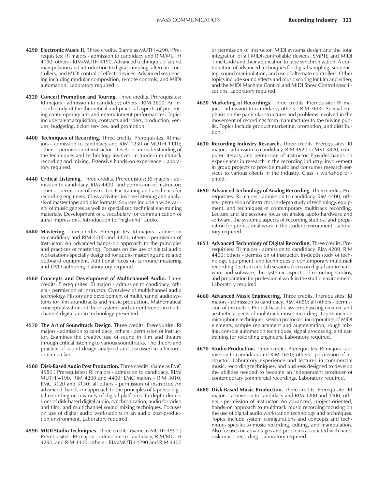- **4290 Electronic Music II.** Three credits. (Same as MUTH 4290.) Prerequisites: RI majors - admission to candidacy and RIM/MUTH 4190; others - RIM/MUTH 4190. Advanced techniques of sound manipulation and introduction to digital sampling, alternate controllers, and MIDI control of effects devices. Advanced sequencing including modular composition, remote controls, and MIDI automation. Laboratory required.
- **4320 Concert Promotion and Touring.** Three credits. Prerequisites: RI majors - admission to candidacy; others - RIM 3600. An indepth study of the theoretical and practical aspects of presenting contemporary arts and entertainment performances. Topics include talent acquisition, contracts and riders, production, venues, budgeting, ticket services, and promotion.
- **4400 Techniques of Recording.** Three credits. Prerequisites: RI majors - admission to candidacy and RIM 1230 or MUTH 1110; others - permission of instructor. Develops an understanding of the techniques and technology involved in modern multitrack recording and mixing. Extensive hands-on experience. Laboratory required.
- **4440 Critical Listening.** Three credits. Prerequisites: RI majors admission to candidacy, RIM 4400, and permission of instructor; others - permission of instructor. Ear-training and aesthetics for recording engineers. Class activities involve listening and analysis of master tape and disc formats. Sources include a wide variety of music genres as well as specialized technical ear-training materials. Development of a vocabulary for communication of aural impressions. Introduction to "high-end" audio.
- **4480 Mastering.** Three credits. Prerequisites: RI majors admission to candidacy and RIM 4200 and 4400; others - permission of instructor. An advanced hands-on approach to the principles and practices of mastering. Focuses on the use of digital audio workstations specially designed for audio mastering and related outboard equipment. Additional focus on surround mastering and DVD authoring. Laboratory required.
- **4560 Concepts and Development of Multichannel Audio.** Three credits. Prerequisites: RI majors - admission to candidacy; others - permission of instructor. Overview of multichannel audio technology. History and development of multichannel audio systems for film soundtracks and music production. Mathematical conceptualizations of these systems and current trends in multichannel digital audio technology presented.
- **4570 The Art of Soundtrack Design**. Three credits. Prerequisite: RI majors - admission to candidacy; others - permission of instructor. Examines the creative use of sound in film and theatre through critical listening to various soundtracks. The theory and practice of sound design analyzed and discussed in a lectureoriented class.
- **4580 Disk-Based Audio Post Production.** Three credits. (Same as EMC 4580.) Prerequisites: RI majors - admission to candidacy, RIM/ MUTH 4190, RIM 4200 and 4400; EMC majors - RIM 3010, EMC 3120 and 3130; all others - permission of instructor. An advanced, hands-on approach to the principles of tapeless digital recording on a variety of digital platforms. In-depth discussions of disk-based digital audio, synchronization, audio for video and film, and multichannel sound mixing techniques. Focuses on use of digital audio workstations in an audio post-production environment. Laboratory required.
- **4590 MIDI Studio Techniques.** Three credits. (Same as MUTH 4590.) Prerequisites: RI majors - admission to candidacy, RIM/MUTH 4290, and RIM 4400; others - RIM/MUTH 4290 and RIM 4400

or permission of instructor. MIDI systems design and the total integration of all MIDI-controllable devices. SMPTE and MIDI Time Code and their application to tape synchronization. A continuation of advanced techniques for digital sampling, sequencing, sound manipulation, and use of alternate controllers. Other topics include sound effects and music scoring for film and video, and the MIDI Machine Control and MIDI Show Control specifications. Laboratory required.

- **4620 Marketing of Recordings.** Three credits. Prerequisite: RI majors - admission to candidacy; others - RIM 3600. Special emphasis on the particular structures and problems involved in the movement of recordings from manufacturer to the buying public. Topics include product marketing, promotion, and distribution.
- **4630 Recording Industry Research.** Three credits. Prerequisites: RI majors - admission to candidacy, RIM 4620 or MKT 3820, computer literacy, and permission of instructor. Provides hands-on experiences in research in the recording industry. Involvement in group projects to provide music and consumer research services to various clients in the industry. Class is workshop oriented.
- **4650 Advanced Technology of Analog Recording.** Three credits. Prerequisites: RI majors - admission to candidacy, RIM 4400; others - permission of instructor. In-depth study of technology, equipment, and techniques of contemporary multitrack recording. Lecture and lab sessions focus on analog audio hardware and software, the systemic aspects of recording studios, and preparation for professional work in the studio environment. Laboratory required.
- **4651 Advanced Technology of Digital Recording.** Three credits. Prerequisites: RI majors - admission to candidacy, RIM 4200, RIM 4400; others - permission of instructor. In-depth study of technology, equipment, and techniques of contemporary multitrack recording. Lecture and lab sessions focus on digital audio hardware and software, the systemic aspects of recording studios, and preparation for professional work in the studio environment. Laboratory required.
- **4660 Advanced Music Engineering.** Three credits. Prerequisites: RI majors - admission to candidacy, RIM 4650; all others - permission of instructor. Project-based class emphasizing creative and aesthetic aspects of multitrack music recording. Topics include microphone techniques, session protocols, incorporation of MIDI elements, sample replacement and augmentation, rough mixing, console automation techniques, signal processing, and eartraining for recording engineers. Laboratory required.
- **4670 Studio Production.** Three credits. Prerequisites: RI majors admission to candidacy and RIM 4650; others - permission of instructor. Laboratory experience and lectures in commercial music, recording techniques, and business designed to develop the abilities needed to become an independent producer of contemporary commercial recordings. Laboratory required.
- **4680 Disk-Based Music Production.** Three credits. Prerequisite: RI majors - admission to candidacy and RIM 4200 and 4400; others - permission of instructor. An advanced, project-oriented, hands-on approach to multitrack music recording focusing on the use of digital audio workstation technology and techniques. Topics include system configurations and concepts and techniques specific to music recording, editing, and manipulation. Also focuses on advantages and problems associated with harddisk music recording. Laboratory required.